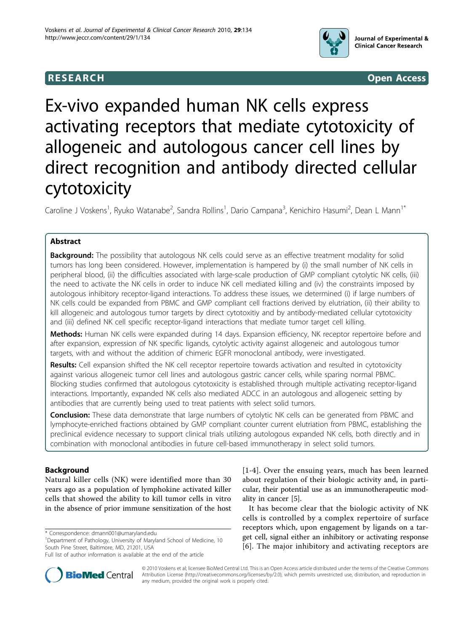

**RESEARCH CONSTRUCTION CONTROL** 

# Ex-vivo expanded human NK cells express activating receptors that mediate cytotoxicity of allogeneic and autologous cancer cell lines by direct recognition and antibody directed cellular cytotoxicity

Caroline J Voskens<sup>1</sup>, Ryuko Watanabe<sup>2</sup>, Sandra Rollins<sup>1</sup>, Dario Campana<sup>3</sup>, Kenichiro Hasumi<sup>2</sup>, Dean L Mann<sup>1\*</sup>

# Abstract

**Background:** The possibility that autologous NK cells could serve as an effective treatment modality for solid tumors has long been considered. However, implementation is hampered by (i) the small number of NK cells in peripheral blood, (ii) the difficulties associated with large-scale production of GMP compliant cytolytic NK cells, (iii) the need to activate the NK cells in order to induce NK cell mediated killing and (iv) the constraints imposed by autologous inhibitory receptor-ligand interactions. To address these issues, we determined (i) if large numbers of NK cells could be expanded from PBMC and GMP compliant cell fractions derived by elutriation, (ii) their ability to kill allogeneic and autologous tumor targets by direct cytotoxitiy and by antibody-mediated cellular cytotoxicity and (iii) defined NK cell specific receptor-ligand interactions that mediate tumor target cell killing.

Methods: Human NK cells were expanded during 14 days. Expansion efficiency, NK receptor repertoire before and after expansion, expression of NK specific ligands, cytolytic activity against allogeneic and autologous tumor targets, with and without the addition of chimeric EGFR monoclonal antibody, were investigated.

Results: Cell expansion shifted the NK cell receptor repertoire towards activation and resulted in cytotoxicity against various allogeneic tumor cell lines and autologous gastric cancer cells, while sparing normal PBMC. Blocking studies confirmed that autologous cytotoxicity is established through multiple activating receptor-ligand interactions. Importantly, expanded NK cells also mediated ADCC in an autologous and allogeneic setting by antibodies that are currently being used to treat patients with select solid tumors.

**Conclusion:** These data demonstrate that large numbers of cytolytic NK cells can be generated from PBMC and lymphocyte-enriched fractions obtained by GMP compliant counter current elutriation from PBMC, establishing the preclinical evidence necessary to support clinical trials utilizing autologous expanded NK cells, both directly and in combination with monoclonal antibodies in future cell-based immunotherapy in select solid tumors.

# Background

Natural killer cells (NK) were identified more than 30 years ago as a population of lymphokine activated killer cells that showed the ability to kill tumor cells in vitro in the absence of prior immune sensitization of the host

\* Correspondence: [dmann001@umaryland.edu](mailto:dmann001@umaryland.edu)

Full list of author information is available at the end of the article



[[1](#page-11-0)-[4](#page-11-0)]. Over the ensuing years, much has been learned about regulation of their biologic activity and, in particular, their potential use as an immunotherapeutic modality in cancer [\[5\]](#page-11-0).

It has become clear that the biologic activity of NK cells is controlled by a complex repertoire of surface receptors which, upon engagement by ligands on a target cell, signal either an inhibitory or activating response [[6](#page-11-0)]. The major inhibitory and activating receptors are

© 2010 Voskens et al; licensee BioMed Central Ltd. This is an Open Access article distributed under the terms of the Creative Commons Attribution License [\(http://creativecommons.org/licenses/by/2.0](http://creativecommons.org/licenses/by/2.0)), which permits unrestricted use, distribution, and reproduction in any medium, provided the original work is properly cited.

<sup>&</sup>lt;sup>1</sup>Department of Pathology, University of Maryland School of Medicine, 10 South Pine Street, Baltimore, MD, 21201, USA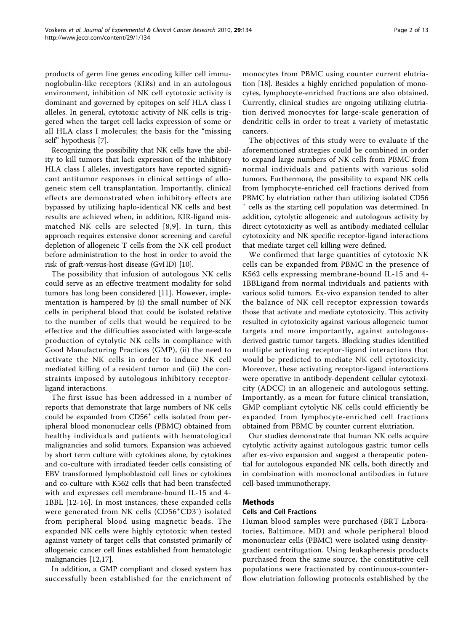products of germ line genes encoding killer cell immunoglobulin-like receptors (KIRs) and in an autologous environment, inhibition of NK cell cytotoxic activity is dominant and governed by epitopes on self HLA class I alleles. In general, cytotoxic activity of NK cells is triggered when the target cell lacks expression of some or all HLA class I molecules; the basis for the "missing self" hypothesis [\[7](#page-11-0)].

Recognizing the possibility that NK cells have the ability to kill tumors that lack expression of the inhibitory HLA class I alleles, investigators have reported significant antitumor responses in clinical settings of allogeneic stem cell transplantation. Importantly, clinical effects are demonstrated when inhibitory effects are bypassed by utilizing haplo-identical NK cells and best results are achieved when, in addition, KIR-ligand mismatched NK cells are selected [[8,9\]](#page-11-0). In turn, this approach requires extensive donor screening and careful depletion of allogeneic T cells from the NK cell product before administration to the host in order to avoid the risk of graft-versus-host disease (GvHD) [\[10](#page-11-0)].

The possibility that infusion of autologous NK cells could serve as an effective treatment modality for solid tumors has long been considered [[11](#page-11-0)]. However, implementation is hampered by (i) the small number of NK cells in peripheral blood that could be isolated relative to the number of cells that would be required to be effective and the difficulties associated with large-scale production of cytolytic NK cells in compliance with Good Manufacturing Practices (GMP), (ii) the need to activate the NK cells in order to induce NK cell mediated killing of a resident tumor and (iii) the constraints imposed by autologous inhibitory receptorligand interactions.

The first issue has been addressed in a number of reports that demonstrate that large numbers of NK cells could be expanded from CD56<sup>+</sup> cells isolated from peripheral blood mononuclear cells (PBMC) obtained from healthy individuals and patients with hematological malignancies and solid tumors. Expansion was achieved by short term culture with cytokines alone, by cytokines and co-culture with irradiated feeder cells consisting of EBV transformed lymphoblastoid cell lines or cytokines and co-culture with K562 cells that had been transfected with and expresses cell membrane-bound IL-15 and 4- 1BBL [\[12-16\]](#page-11-0). In most instances, these expanded cells were generated from NK cells (CD56<sup>+</sup>CD3<sup>-</sup>) isolated from peripheral blood using magnetic beads. The expanded NK cells were highly cytotoxic when tested against variety of target cells that consisted primarily of allogeneic cancer cell lines established from hematologic malignancies [[12,17](#page-11-0)].

In addition, a GMP compliant and closed system has successfully been established for the enrichment of monocytes from PBMC using counter current elutriation [\[18](#page-11-0)]. Besides a highly enriched population of monocytes, lymphocyte-enriched fractions are also obtained. Currently, clinical studies are ongoing utilizing elutriation derived monocytes for large-scale generation of dendritic cells in order to treat a variety of metastatic cancers.

The objectives of this study were to evaluate if the aforementioned strategies could be combined in order to expand large numbers of NK cells from PBMC from normal individuals and patients with various solid tumors. Furthermore, the possibility to expand NK cells from lymphocyte-enriched cell fractions derived from PBMC by elutriation rather than utilizing isolated CD56 cells as the starting cell population was determined. In addition, cytolytic allogeneic and autologous activity by direct cytotoxicity as well as antibody-mediated cellular cytotoxicity and NK specific receptor-ligand interactions that mediate target cell killing were defined.

We confirmed that large quantities of cytotoxic NK cells can be expanded from PBMC in the presence of K562 cells expressing membrane-bound IL-15 and 4- 1BBLigand from normal individuals and patients with various solid tumors. Ex-vivo expansion tended to alter the balance of NK cell receptor expression towards those that activate and mediate cytotoxicity. This activity resulted in cytotoxicity against various allogeneic tumor targets and more importantly, against autologousderived gastric tumor targets. Blocking studies identified multiple activating receptor-ligand interactions that would be predicted to mediate NK cell cytotoxicity. Moreover, these activating receptor-ligand interactions were operative in antibody-dependent cellular cytotoxicity (ADCC) in an allogeneic and autologous setting. Importantly, as a mean for future clinical translation, GMP compliant cytolytic NK cells could efficiently be expanded from lymphocyte-enriched cell fractions obtained from PBMC by counter current elutriation.

Our studies demonstrate that human NK cells acquire cytolytic activity against autologous gastric tumor cells after ex-vivo expansion and suggest a therapeutic potential for autologous expanded NK cells, both directly and in combination with monoclonal antibodies in future cell-based immunotherapy.

# Methods

# Cells and Cell Fractions

Human blood samples were purchased (BRT Laboratories, Baltimore, MD) and whole peripheral blood mononuclear cells (PBMC) were isolated using densitygradient centrifugation. Using leukapheresis products purchased from the same source, the constitutive cell populations were fractionated by continuous-counterflow elutriation following protocols established by the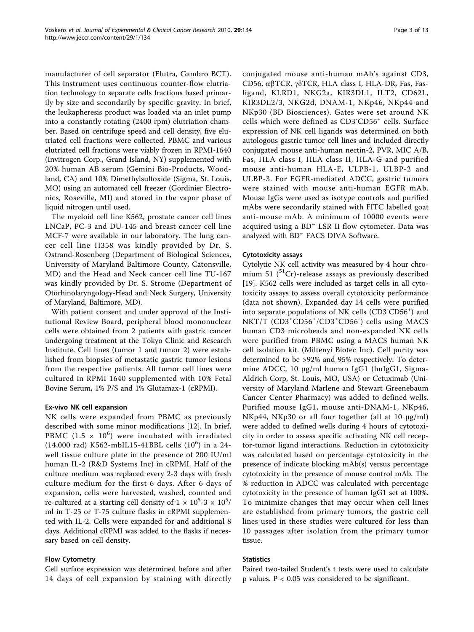manufacturer of cell separator (Elutra, Gambro BCT). This instrument uses continuous counter-flow elutriation technology to separate cells fractions based primarily by size and secondarily by specific gravity. In brief, the leukapheresis product was loaded via an inlet pump into a constantly rotating (2400 rpm) elutriation chamber. Based on centrifuge speed and cell density, five elutriated cell fractions were collected. PBMC and various elutriated cell fractions were viably frozen in RPMI-1640 (Invitrogen Corp., Grand Island, NY) supplemented with 20% human AB serum (Gemini Bio-Products, Woodland, CA) and 10% Dimethylsulfoxide (Sigma, St. Louis, MO) using an automated cell freezer (Gordinier Electronics, Roseville, MI) and stored in the vapor phase of liquid nitrogen until used.

The myeloid cell line K562, prostate cancer cell lines LNCaP, PC-3 and DU-145 and breast cancer cell line MCF-7 were available in our laboratory. The lung cancer cell line H358 was kindly provided by Dr. S. Ostrand-Rosenberg (Department of Biological Sciences, University of Maryland Baltimore County, Catonsville, MD) and the Head and Neck cancer cell line TU-167 was kindly provided by Dr. S. Strome (Department of Otorhinolaryngology-Head and Neck Surgery, University of Maryland, Baltimore, MD).

With patient consent and under approval of the Institutional Review Board, peripheral blood mononuclear cells were obtained from 2 patients with gastric cancer undergoing treatment at the Tokyo Clinic and Research Institute. Cell lines (tumor 1 and tumor 2) were established from biopsies of metastatic gastric tumor lesions from the respective patients. All tumor cell lines were cultured in RPMI 1640 supplemented with 10% Fetal Bovine Serum, 1% P/S and 1% Glutamax-1 (cRPMI).

# Ex-vivo NK cell expansion

NK cells were expanded from PBMC as previously described with some minor modifications [\[12](#page-11-0)]. In brief, PBMC (1.5  $\times$  10<sup>6</sup>) were incubated with irradiated (14,000 rad) K562-mbIL15-41BBL cells  $(10^6)$  in a 24well tissue culture plate in the presence of 200 IU/ml human IL-2 (R&D Systems Inc) in cRPMI. Half of the culture medium was replaced every 2-3 days with fresh culture medium for the first 6 days. After 6 days of expansion, cells were harvested, washed, counted and re-cultured at a starting cell density of 1  $\times$  10<sup>5</sup>-3  $\times$  10<sup>5</sup>/ ml in T-25 or T-75 culture flasks in cRPMI supplemented with IL-2. Cells were expanded for and additional 8 days. Additional cRPMI was added to the flasks if necessary based on cell density.

# Flow Cytometry

Cell surface expression was determined before and after 14 days of cell expansion by staining with directly conjugated mouse anti-human mAb's against CD3, CD56, α $\beta$ TCR, γ $\delta$ TCR, HLA class I, HLA-DR, Fas, Fasligand, KLRD1, NKG2a, KIR3DL1, ILT2, CD62L, KIR3DL2/3, NKG2d, DNAM-1, NKp46, NKp44 and NKp30 (BD Biosciences). Gates were set around NK cells which were defined as CD3<sup>-</sup>CD56<sup>+</sup> cells. Surface expression of NK cell ligands was determined on both autologous gastric tumor cell lines and included directly conjugated mouse anti-human nectin-2, PVR, MIC A/B, Fas, HLA class I, HLA class II, HLA-G and purified mouse anti-human HLA-E, ULPB-1, ULBP-2 and ULBP-3. For EGFR-mediated ADCC, gastric tumors were stained with mouse anti-human EGFR mAb. Mouse IgGs were used as isotype controls and purified mAbs were secondarily stained with FITC labelled goat anti-mouse mAb. A minimum of 10000 events were acquired using a BD™ LSR II flow cytometer. Data was analyzed with BD™ FACS DIVA Software.

# Cytotoxicity assays

Cytolytic NK cell activity was measured by 4 hour chromium 51  $(^{51}Cr)$ -release assays as previously described [[19\]](#page-11-0). K562 cells were included as target cells in all cytotoxicity assays to assess overall cytotoxicity performance (data not shown). Expanded day 14 cells were purified into separate populations of NK cells (CD3<sup>-</sup>CD56<sup>+</sup>) and NKT/T (CD3<sup>+</sup>CD56<sup>+</sup>/CD3<sup>+</sup>CD56<sup>-</sup>) cells using MACS human CD3 microbeads and non-expanded NK cells were purified from PBMC using a MACS human NK cell isolation kit. (Miltenyi Biotec Inc). Cell purity was determined to be >92% and 95% respectively. To determine ADCC, 10 μg/ml human IgG1 (huIgG1, Sigma-Aldrich Corp, St. Louis, MO, USA) or Cetuximab (University of Maryland Marlene and Stewart Greenebaum Cancer Center Pharmacy) was added to defined wells. Purified mouse IgG1, mouse anti-DNAM-1, NKp46, NKp44, NKp30 or all four together (all at 10 μg/ml) were added to defined wells during 4 hours of cytotoxicity in order to assess specific activating NK cell receptor-tumor ligand interactions. Reduction in cytotoxicity was calculated based on percentage cytotoxicity in the presence of indicate blocking mAb(s) versus percentage cytotoxicity in the presence of mouse control mAb. The % reduction in ADCC was calculated with percentage cytotoxicity in the presence of human IgG1 set at 100%. To minimize changes that may occur when cell lines are established from primary tumors, the gastric cell lines used in these studies were cultured for less than 10 passages after isolation from the primary tumor tissue.

# **Statistics**

Paired two-tailed Student's t tests were used to calculate p values. P < 0.05 was considered to be significant.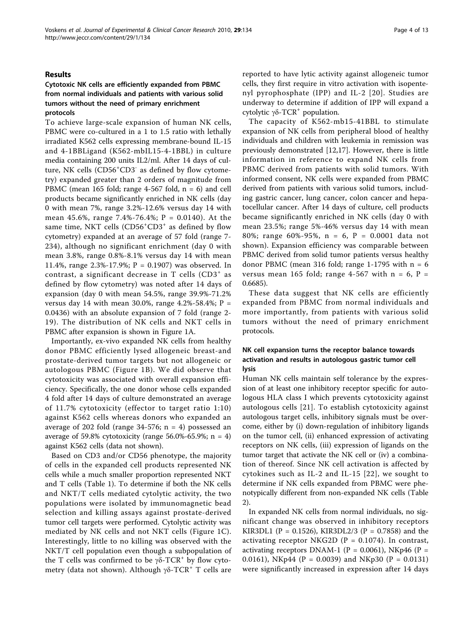### Results

# Cytotoxic NK cells are efficiently expanded from PBMC from normal individuals and patients with various solid tumors without the need of primary enrichment protocols

To achieve large-scale expansion of human NK cells, PBMC were co-cultured in a 1 to 1.5 ratio with lethally irradiated K562 cells expressing membrane-bound IL-15 and 4-1BBLigand (K562-mbIL15-4-1BBL) in culture media containing 200 units IL2/ml. After 14 days of culture, NK cells (CD56<sup>+</sup>CD3<sup>-</sup> as defined by flow cytometry) expanded greater than 2 orders of magnitude from PBMC (mean 165 fold; range 4-567 fold,  $n = 6$ ) and cell products became significantly enriched in NK cells (day 0 with mean 7%, range 3.2%-12.6% versus day 14 with mean 45.6%, range 7.4%-76.4%; P = 0.0140). At the same time, NKT cells (CD56<sup>+</sup>CD3<sup>+</sup> as defined by flow cytometry) expanded at an average of 57 fold (range 7- 234), although no significant enrichment (day 0 with mean 3.8%, range 0.8%-8.1% versus day 14 with mean 11.4%, range 2.3%-17.9%; P = 0.1907) was observed. In contrast, a significant decrease in  $T$  cells  $(CD3<sup>+</sup>$  as defined by flow cytometry) was noted after 14 days of expansion (day 0 with mean 54.5%, range 39.9%-71.2% versus day 14 with mean 30.0%, range 4.2%-58.4%;  $P =$ 0.0436) with an absolute expansion of 7 fold (range 2- 19). The distribution of NK cells and NKT cells in PBMC after expansion is shown in Figure [1A.](#page-4-0)

Importantly, ex-vivo expanded NK cells from healthy donor PBMC efficiently lysed allogeneic breast-and prostate-derived tumor targets but not allogeneic or autologous PBMC (Figure [1B\)](#page-4-0). We did observe that cytotoxicity was associated with overall expansion efficiency. Specifically, the one donor whose cells expanded 4 fold after 14 days of culture demonstrated an average of 11.7% cytotoxicity (effector to target ratio 1:10) against K562 cells whereas donors who expanded an average of 202 fold (range 34-576;  $n = 4$ ) possessed an average of 59.8% cytotoxicity (range 56.0%-65.9%;  $n = 4$ ) against K562 cells (data not shown).

Based on CD3 and/or CD56 phenotype, the majority of cells in the expanded cell products represented NK cells while a much smaller proportion represented NKT and T cells (Table [1](#page-5-0)). To determine if both the NK cells and NKT/T cells mediated cytolytic activity, the two populations were isolated by immunomagnetic bead selection and killing assays against prostate-derived tumor cell targets were performed. Cytolytic activity was mediated by NK cells and not NKT cells (Figure [1C](#page-4-0)). Interestingly, little to no killing was observed with the NKT/T cell population even though a subpopulation of the T cells was confirmed to be  $γδ$ -TCR<sup>+</sup> by flow cytometry (data not shown). Although  $γδ$ -TCR<sup>+</sup> T cells are reported to have lytic activity against allogeneic tumor cells, they first require in vitro activation with isopentenyl pyrophosphate (IPP) and IL-2 [[20](#page-11-0)]. Studies are underway to determine if addition of IPP will expand a cytolytic  $γδ$ -TCR<sup>+</sup> population.

The capacity of K562-mb15-41BBL to stimulate expansion of NK cells from peripheral blood of healthy individuals and children with leukemia in remission was previously demonstrated [[12,17\]](#page-11-0). However, there is little information in reference to expand NK cells from PBMC derived from patients with solid tumors. With informed consent, NK cells were expanded from PBMC derived from patients with various solid tumors, including gastric cancer, lung cancer, colon cancer and hepatocellular cancer. After 14 days of culture, cell products became significantly enriched in NK cells (day 0 with mean 23.5%; range 5%-46% versus day 14 with mean 80%; range 60%-95%, n = 6, P = 0.0001 data not shown). Expansion efficiency was comparable between PBMC derived from solid tumor patients versus healthy donor PBMC (mean 316 fold; range  $1-1795$  with  $n = 6$ versus mean 165 fold; range 4-567 with  $n = 6$ ,  $P =$ 0.6685).

These data suggest that NK cells are efficiently expanded from PBMC from normal individuals and more importantly, from patients with various solid tumors without the need of primary enrichment protocols.

# NK cell expansion turns the receptor balance towards activation and results in autologous gastric tumor cell lysis

Human NK cells maintain self tolerance by the expression of at least one inhibitory receptor specific for autologous HLA class I which prevents cytotoxicity against autologous cells [\[21\]](#page-11-0). To establish cytotoxicity against autologous target cells, inhibitory signals must be overcome, either by (i) down-regulation of inhibitory ligands on the tumor cell, (ii) enhanced expression of activating receptors on NK cells, (iii) expression of ligands on the tumor target that activate the NK cell or (iv) a combination of thereof. Since NK cell activation is affected by cytokines such as IL-2 and IL-15 [\[22](#page-11-0)], we sought to determine if NK cells expanded from PBMC were phenotypically different from non-expanded NK cells (Table [2\)](#page-5-0).

In expanded NK cells from normal individuals, no significant change was observed in inhibitory receptors KIR3DL1 (P = 0.1526), KIR3DL2/3 (P = 0.7858) and the activating receptor NKG2D ( $P = 0.1074$ ). In contrast, activating receptors DNAM-1 (P = 0.0061), NKp46 (P = 0.0161), NKp44 (P = 0.0039) and NKp30 (P = 0.0131) were significantly increased in expression after 14 days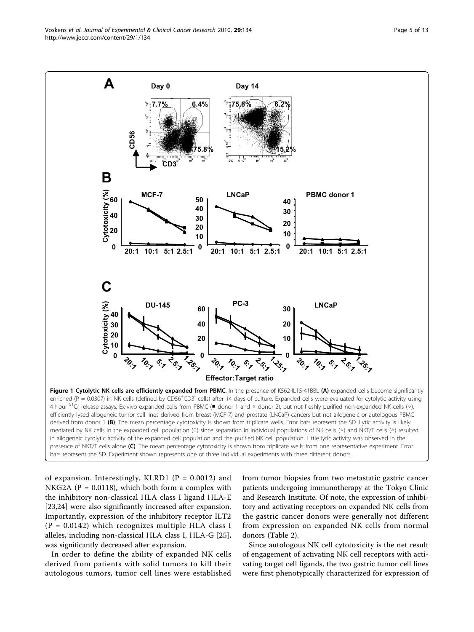<span id="page-4-0"></span>Voskens et al. Journal of Experimental & Clinical Cancer Research 2010, 29:134 http://www.jeccr.com/content/29/1/134



of expansion. Interestingly, KLRD1 ( $P = 0.0012$ ) and NKG2A ( $P = 0.0118$ ), which both form a complex with the inhibitory non-classical HLA class I ligand HLA-E [[23,24\]](#page-11-0) were also significantly increased after expansion. Importantly, expression of the inhibitory receptor ILT2  $(P = 0.0142)$  which recognizes multiple HLA class I alleles, including non-classical HLA class I, HLA-G [\[25](#page-11-0)], was significantly decreased after expansion.

In order to define the ability of expanded NK cells derived from patients with solid tumors to kill their autologous tumors, tumor cell lines were established from tumor biopsies from two metastatic gastric cancer patients undergoing immunotherapy at the Tokyo Clinic and Research Institute. Of note, the expression of inhibitory and activating receptors on expanded NK cells from the gastric cancer donors were generally not different from expression on expanded NK cells from normal donors (Table [2](#page-5-0)).

Since autologous NK cell cytotoxicity is the net result of engagement of activating NK cell receptors with activating target cell ligands, the two gastric tumor cell lines were first phenotypically characterized for expression of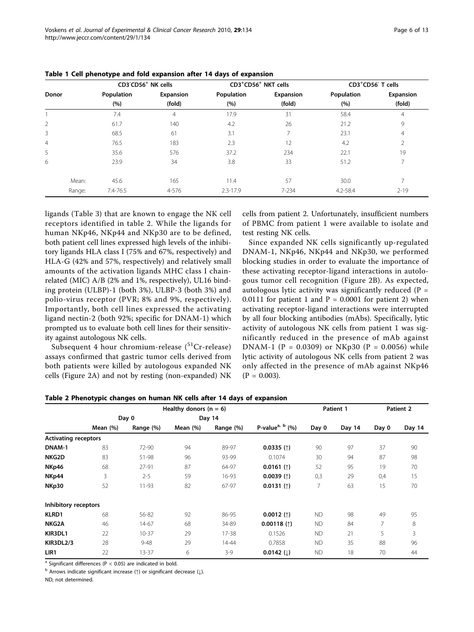|                |            | CD3 <sup>-</sup> CD56 <sup>+</sup> NK cells |              | CD3 <sup>+</sup> CD56 <sup>+</sup> NKT cells |              | CD3 <sup>+</sup> CD56 <sup>-</sup> T cells |
|----------------|------------|---------------------------------------------|--------------|----------------------------------------------|--------------|--------------------------------------------|
| <b>Donor</b>   | Population | Expansion                                   | Population   | Expansion                                    | Population   | Expansion                                  |
|                | (%)        | (fold)                                      | (%)          | (fold)                                       | (%)          | (fold)                                     |
|                | 7.4        | $\overline{4}$                              | 17.9         | 31                                           | 58.4         | 4                                          |
| 2              | 61.7       | 140                                         | 4.2          | 26                                           | 21.2         | 9                                          |
| 3              | 68.5       | 61                                          | 3.1          |                                              | 23.1         | 4                                          |
| $\overline{4}$ | 76.5       | 183                                         | 2.3          | 12                                           | 4.2          | 2                                          |
| 5              | 35.6       | 576                                         | 37.2         | 234                                          | 22.1         | 19                                         |
| 6              | 23.9       | 34                                          | 3.8          | 33                                           | 51.2         |                                            |
| Mean:          | 45.6       | 165                                         | 11.4         | 57                                           | 30.0         |                                            |
| Range:         | 7.4-76.5   | 4-576                                       | $2.3 - 17.9$ | $7 - 234$                                    | $4.2 - 58.4$ | $2 - 19$                                   |

<span id="page-5-0"></span>Table 1 Cell phenotype and fold expansion after 14 days of expansion

ligands (Table [3\)](#page-6-0) that are known to engage the NK cell receptors identified in table 2. While the ligands for human NKp46, NKp44 and NKp30 are to be defined, both patient cell lines expressed high levels of the inhibitory ligands HLA class I (75% and 67%, respectively) and HLA-G (42% and 57%, respectively) and relatively small amounts of the activation ligands MHC class I chainrelated (MIC) A/B (2% and 1%, respectively), UL16 binding protein (ULBP)-1 (both 3%), ULBP-3 (both 3%) and polio-virus receptor (PVR; 8% and 9%, respectively). Importantly, both cell lines expressed the activating ligand nectin-2 (both 92%; specific for DNAM-1) which prompted us to evaluate both cell lines for their sensitivity against autologous NK cells.

Subsequent 4 hour chromium-release  $(^{51}Cr$ -release) assays confirmed that gastric tumor cells derived from both patients were killed by autologous expanded NK cells (Figure [2A](#page-7-0)) and not by resting (non-expanded) NK cells from patient 2. Unfortunately, insufficient numbers of PBMC from patient 1 were available to isolate and test resting NK cells.

Since expanded NK cells significantly up-regulated DNAM-1, NKp46, NKp44 and NKp30, we performed blocking studies in order to evaluate the importance of these activating receptor-ligand interactions in autologous tumor cell recognition (Figure [2B\)](#page-7-0). As expected, autologous lytic activity was significantly reduced ( $P =$ 0.0111 for patient 1 and  $P = 0.0001$  for patient 2) when activating receptor-ligand interactions were interrupted by all four blocking antibodies (mAbs). Specifically, lytic activity of autologous NK cells from patient 1 was significantly reduced in the presence of mAb against DNAM-1 (P = 0.0309) or NKp30 (P = 0.0056) while lytic activity of autologous NK cells from patient 2 was only affected in the presence of mAb against NKp46  $(P = 0.003)$ .

|                             | Healthy donors ( $n = 6$ ) |           |          |           |                               | Patient 1 |        | Patient 2 |        |
|-----------------------------|----------------------------|-----------|----------|-----------|-------------------------------|-----------|--------|-----------|--------|
|                             | Day 0                      |           | Day 14   |           |                               |           |        |           |        |
|                             | Mean (%)                   | Range (%) | Mean (%) | Range (%) | P-value <sup>a, b</sup> $(%)$ | Day 0     | Day 14 | Day 0     | Day 14 |
| <b>Activating receptors</b> |                            |           |          |           |                               |           |        |           |        |
| DNAM-1                      | 83                         | 72-90     | 94       | 89-97     | 0.0335(1)                     | 90        | 97     | 37        | 90     |
| NKG2D                       | 83                         | 51-98     | 96       | 93-99     | 0.1074                        | 30        | 94     | 87        | 98     |
| NKp46                       | 68                         | 27-91     | 87       | 64-97     | $0.0161$ (1)                  | 52        | 95     | 19        | 70     |
| NKp44                       | 3                          | $2 - 5$   | 59       | 16-93     | 0.0039(1)                     | 0,3       | 29     | 0,4       | 15     |
| NKp30                       | 52                         | 11-93     | 82       | 67-97     | $0.0131$ (1)                  | 7         | 63     | 15        | 70     |
| Inhibitory receptors        |                            |           |          |           |                               |           |        |           |        |
| <b>KLRD1</b>                | 68                         | 56-82     | 92       | 86-95     | $0.0012$ (1)                  | <b>ND</b> | 98     | 49        | 95     |
| NKG2A                       | 46                         | 14-67     | 68       | 34-89     | $0.00118$ (1)                 | <b>ND</b> | 84     | 7         | 8      |
| KIR3DL1                     | 22                         | $10 - 37$ | 29       | 17-38     | 0.1526                        | <b>ND</b> | 21     | 5         | 3      |
| <b>KIR3DL2/3</b>            | 28                         | $9 - 48$  | 29       | $14 - 44$ | 0.7858                        | <b>ND</b> | 35     | 88        | 96     |
| LIR1                        | 22                         | 13-37     | 6        | $3-9$     | $0.0142$ (1)                  | <b>ND</b> | 18     | 70        | 44     |

Table 2 Phenotypic changes on human NK cells after 14 days of expansion

<sup>a</sup> Significant differences ( $P < 0.05$ ) are indicated in bold.

b Arrows indicate significant increase (↑) or significant decrease (↓).

ND; not determined.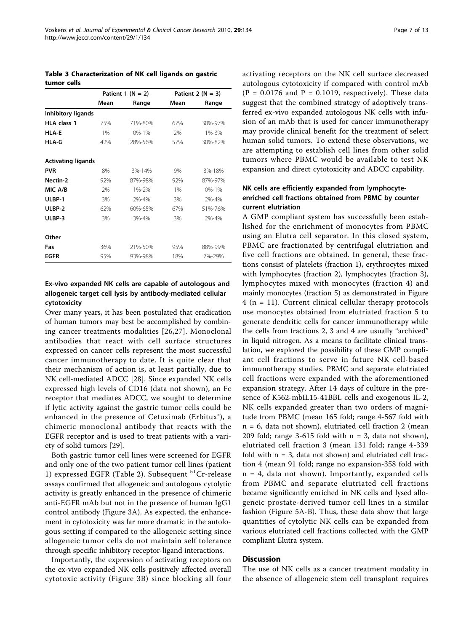<span id="page-6-0"></span>Table 3 Characterization of NK cell ligands on gastric tumor cells

|                           | Patient 1 $(N = 2)$ |           |      | Patient 2 ( $N = 3$ ) |
|---------------------------|---------------------|-----------|------|-----------------------|
|                           | Mean                | Range     | Mean | Range                 |
| Inhibitory ligands        |                     |           |      |                       |
| <b>HLA</b> class 1        | 75%                 | 71%-80%   | 67%  | 30%-97%               |
| HLA-F                     | 1%                  | $0% - 1%$ | 2%   | 1%-3%                 |
| <b>HLA-G</b>              | 42%                 | 28%-56%   | 57%  | 30%-82%               |
| <b>Activating ligands</b> |                     |           |      |                       |
| <b>PVR</b>                | 8%                  | 3%-14%    | 9%   | 3%-18%                |
| Nectin-2                  | 92%                 | 87%-98%   | 92%  | 87%-97%               |
| MIC A/B                   | 2%                  | 1%-2%     | 1%   | $0% - 1%$             |
| ULBP-1                    | 3%                  | 2%-4%     | 3%   | 2%-4%                 |
| ULBP-2                    | 62%                 | 60%-65%   | 67%  | 51%-76%               |
| ULBP-3                    | 3%                  | 3%-4%     | 3%   | 2%-4%                 |
| Other                     |                     |           |      |                       |
| Fas                       | 36%                 | 21%-50%   | 95%  | 88%-99%               |
| <b>EGFR</b>               | 95%                 | 93%-98%   | 18%  | 7%-29%                |

# Ex-vivo expanded NK cells are capable of autologous and allogeneic target cell lysis by antibody-mediated cellular cytotoxicity

Over many years, it has been postulated that eradication of human tumors may best be accomplished by combining cancer treatments modalities [[26,27\]](#page-11-0). Monoclonal antibodies that react with cell surface structures expressed on cancer cells represent the most successful cancer immunotherapy to date. It is quite clear that their mechanism of action is, at least partially, due to NK cell-mediated ADCC [[28\]](#page-11-0). Since expanded NK cells expressed high levels of CD16 (data not shown), an Fc receptor that mediates ADCC, we sought to determine if lytic activity against the gastric tumor cells could be enhanced in the presence of Cetuximab (Erbitux®), a chimeric monoclonal antibody that reacts with the EGFR receptor and is used to treat patients with a variety of solid tumors [[29\]](#page-11-0).

Both gastric tumor cell lines were screened for EGFR and only one of the two patient tumor cell lines (patient 1) expressed EGFR (Table [2](#page-5-0)). Subsequent  ${}^{51}Cr$ -release assays confirmed that allogeneic and autologous cytolytic activity is greatly enhanced in the presence of chimeric anti-EGFR mAb but not in the presence of human IgG1 control antibody (Figure [3A\)](#page-8-0). As expected, the enhancement in cytotoxicity was far more dramatic in the autologous setting if compared to the allogeneic setting since allogeneic tumor cells do not maintain self tolerance through specific inhibitory receptor-ligand interactions.

Importantly, the expression of activating receptors on the ex-vivo expanded NK cells positively affected overall cytotoxic activity (Figure [3B](#page-8-0)) since blocking all four activating receptors on the NK cell surface decreased autologous cytotoxicity if compared with control mAb (P = 0.0176 and P = 0.1019, respectively). These data suggest that the combined strategy of adoptively transferred ex-vivo expanded autologous NK cells with infusion of an mAb that is used for cancer immunotherapy may provide clinical benefit for the treatment of select human solid tumors. To extend these observations, we are attempting to establish cell lines from other solid tumors where PBMC would be available to test NK expansion and direct cytotoxicity and ADCC capability.

# NK cells are efficiently expanded from lymphocyteenriched cell fractions obtained from PBMC by counter current elutriation

A GMP compliant system has successfully been established for the enrichment of monocytes from PBMC using an Elutra cell separator. In this closed system, PBMC are fractionated by centrifugal elutriation and five cell fractions are obtained. In general, these fractions consist of platelets (fraction 1), erythrocytes mixed with lymphocytes (fraction 2), lymphocytes (fraction 3), lymphocytes mixed with monocytes (fraction 4) and mainly monocytes (fraction 5) as demonstrated in Figure  $4$  (n = 11). Current clinical cellular therapy protocols use monocytes obtained from elutriated fraction 5 to generate dendritic cells for cancer immunotherapy while the cells from fractions 2, 3 and 4 are usually "archived" in liquid nitrogen. As a means to facilitate clinical translation, we explored the possibility of these GMP compliant cell fractions to serve in future NK cell-based immunotherapy studies. PBMC and separate elutriated cell fractions were expanded with the aforementioned expansion strategy. After 14 days of culture in the presence of K562-mbIL15-41BBL cells and exogenous IL-2, NK cells expanded greater than two orders of magnitude from PBMC (mean 165 fold; range 4-567 fold with  $n = 6$ , data not shown), elutriated cell fraction 2 (mean 209 fold; range 3-615 fold with  $n = 3$ , data not shown), elutriated cell fraction 3 (mean 131 fold; range 4-339 fold with  $n = 3$ , data not shown) and elutriated cell fraction 4 (mean 91 fold; range no expansion-358 fold with  $n = 4$ , data not shown). Importantly, expanded cells from PBMC and separate elutriated cell fractions became significantly enriched in NK cells and lysed allogeneic prostate-derived tumor cell lines in a similar fashion (Figure [5A-B\)](#page-10-0). Thus, these data show that large quantities of cytolytic NK cells can be expanded from various elutriated cell fractions collected with the GMP compliant Elutra system.

# **Discussion**

The use of NK cells as a cancer treatment modality in the absence of allogeneic stem cell transplant requires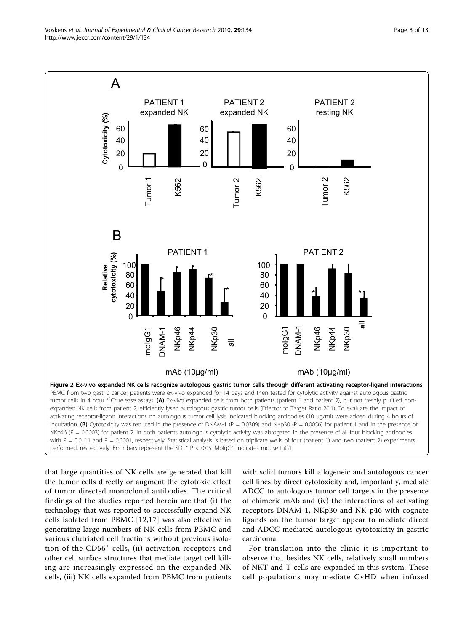<span id="page-7-0"></span>

that large quantities of NK cells are generated that kill the tumor cells directly or augment the cytotoxic effect of tumor directed monoclonal antibodies. The critical findings of the studies reported herein are that (i) the technology that was reported to successfully expand NK cells isolated from PBMC [\[12,17](#page-11-0)] was also effective in generating large numbers of NK cells from PBMC and various elutriated cell fractions without previous isolation of the CD56<sup>+</sup> cells, (ii) activation receptors and other cell surface structures that mediate target cell killing are increasingly expressed on the expanded NK cells, (iii) NK cells expanded from PBMC from patients

with solid tumors kill allogeneic and autologous cancer cell lines by direct cytotoxicity and, importantly, mediate ADCC to autologous tumor cell targets in the presence of chimeric mAb and (iv) the interactions of activating receptors DNAM-1, NKp30 and NK-p46 with cognate ligands on the tumor target appear to mediate direct and ADCC mediated autologous cytotoxicity in gastric carcinoma.

For translation into the clinic it is important to observe that besides NK cells, relatively small numbers of NKT and T cells are expanded in this system. These cell populations may mediate GvHD when infused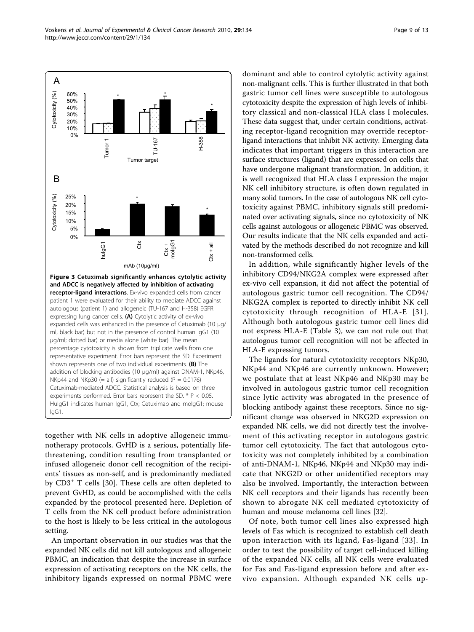<span id="page-8-0"></span>

together with NK cells in adoptive allogeneic immunotherapy protocols. GvHD is a serious, potentially lifethreatening, condition resulting from transplanted or infused allogeneic donor cell recognition of the recipients' tissues as non-self, and is predominantly mediated by CD3<sup>+</sup> T cells [[30](#page-11-0)]. These cells are often depleted to prevent GvHD, as could be accomplished with the cells expanded by the protocol presented here. Depletion of T cells from the NK cell product before administration to the host is likely to be less critical in the autologous setting.

An important observation in our studies was that the expanded NK cells did not kill autologous and allogeneic PBMC, an indication that despite the increase in surface expression of activating receptors on the NK cells, the inhibitory ligands expressed on normal PBMC were dominant and able to control cytolytic activity against non-malignant cells. This is further illustrated in that both gastric tumor cell lines were susceptible to autologous cytotoxicity despite the expression of high levels of inhibitory classical and non-classical HLA class I molecules. These data suggest that, under certain conditions, activating receptor-ligand recognition may override receptorligand interactions that inhibit NK activity. Emerging data indicates that important triggers in this interaction are surface structures (ligand) that are expressed on cells that have undergone malignant transformation. In addition, it is well recognized that HLA class I expression the major NK cell inhibitory structure, is often down regulated in many solid tumors. In the case of autologous NK cell cytotoxicity against PBMC, inhibitory signals still predominated over activating signals, since no cytotoxicity of NK cells against autologous or allogeneic PBMC was observed. Our results indicate that the NK cells expanded and activated by the methods described do not recognize and kill non-transformed cells.

In addition, while significantly higher levels of the inhibitory CD94/NKG2A complex were expressed after ex-vivo cell expansion, it did not affect the potential of autologous gastric tumor cell recognition. The CD94/ NKG2A complex is reported to directly inhibit NK cell cytotoxicity through recognition of HLA-E [[31\]](#page-11-0). Although both autologous gastric tumor cell lines did not express HLA-E (Table [3](#page-6-0)), we can not rule out that autologous tumor cell recognition will not be affected in HLA-E expressing tumors.

The ligands for natural cytotoxicity receptors NKp30, NKp44 and NKp46 are currently unknown. However; we postulate that at least NKp46 and NKp30 may be involved in autologous gastric tumor cell recognition since lytic activity was abrogated in the presence of blocking antibody against these receptors. Since no significant change was observed in NKG2D expression on expanded NK cells, we did not directly test the involvement of this activating receptor in autologous gastric tumor cell cytotoxicity. The fact that autologous cytotoxicity was not completely inhibited by a combination of anti-DNAM-1, NKp46, NKp44 and NKp30 may indicate that NKG2D or other unidentified receptors may also be involved. Importantly, the interaction between NK cell receptors and their ligands has recently been shown to abrogate NK cell mediated cytotoxicity of human and mouse melanoma cell lines [\[32](#page-11-0)].

Of note, both tumor cell lines also expressed high levels of Fas which is recognized to establish cell death upon interaction with its ligand, Fas-ligand [[33\]](#page-12-0). In order to test the possibility of target cell-induced killing of the expanded NK cells, all NK cells were evaluated for Fas and Fas-ligand expression before and after exvivo expansion. Although expanded NK cells up-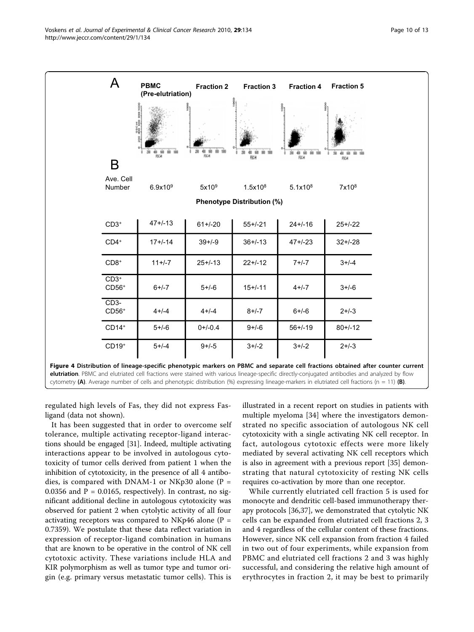<span id="page-9-0"></span>

regulated high levels of Fas, they did not express Fasligand (data not shown).

It has been suggested that in order to overcome self tolerance, multiple activating receptor-ligand interactions should be engaged [[31\]](#page-11-0). Indeed, multiple activating interactions appear to be involved in autologous cytotoxicity of tumor cells derived from patient 1 when the inhibition of cytotoxicity, in the presence of all 4 antibodies, is compared with DNAM-1 or NKp30 alone ( $P =$ 0.0356 and  $P = 0.0165$ , respectively). In contrast, no significant additional decline in autologous cytotoxicity was observed for patient 2 when cytolytic activity of all four activating receptors was compared to NKp46 alone ( $P =$ 0.7359). We postulate that these data reflect variation in expression of receptor-ligand combination in humans that are known to be operative in the control of NK cell cytotoxic activity. These variations include HLA and KIR polymorphism as well as tumor type and tumor origin (e.g. primary versus metastatic tumor cells). This is

illustrated in a recent report on studies in patients with multiple myeloma [[34\]](#page-12-0) where the investigators demonstrated no specific association of autologous NK cell cytotoxicity with a single activating NK cell receptor. In fact, autologous cytotoxic effects were more likely mediated by several activating NK cell receptors which is also in agreement with a previous report [\[35](#page-12-0)] demonstrating that natural cytotoxicity of resting NK cells requires co-activation by more than one receptor.

While currently elutriated cell fraction 5 is used for monocyte and dendritic cell-based immunotherapy therapy protocols [[36,37\]](#page-12-0), we demonstrated that cytolytic NK cells can be expanded from elutriated cell fractions 2, 3 and 4 regardless of the cellular content of these fractions. However, since NK cell expansion from fraction 4 failed in two out of four experiments, while expansion from PBMC and elutriated cell fractions 2 and 3 was highly successful, and considering the relative high amount of erythrocytes in fraction 2, it may be best to primarily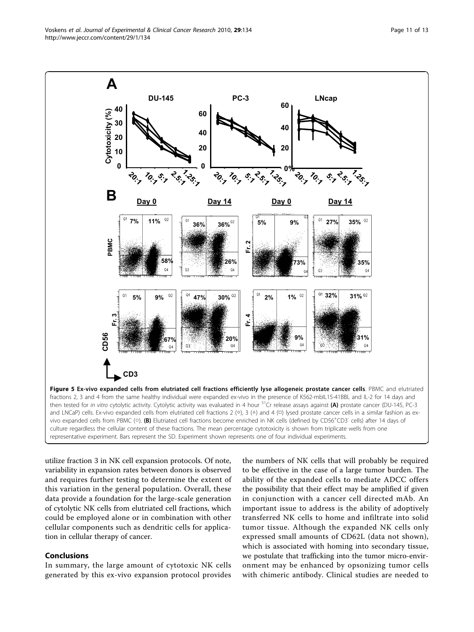<span id="page-10-0"></span>

utilize fraction 3 in NK cell expansion protocols. Of note, variability in expansion rates between donors is observed and requires further testing to determine the extent of this variation in the general population. Overall, these data provide a foundation for the large-scale generation of cytolytic NK cells from elutriated cell fractions, which could be employed alone or in combination with other cellular components such as dendritic cells for application in cellular therapy of cancer.

# Conclusions

In summary, the large amount of cytotoxic NK cells generated by this ex-vivo expansion protocol provides

the numbers of NK cells that will probably be required to be effective in the case of a large tumor burden. The ability of the expanded cells to mediate ADCC offers the possibility that their effect may be amplified if given in conjunction with a cancer cell directed mAb. An important issue to address is the ability of adoptively transferred NK cells to home and infiltrate into solid tumor tissue. Although the expanded NK cells only expressed small amounts of CD62L (data not shown), which is associated with homing into secondary tissue, we postulate that trafficking into the tumor micro-environment may be enhanced by opsonizing tumor cells with chimeric antibody. Clinical studies are needed to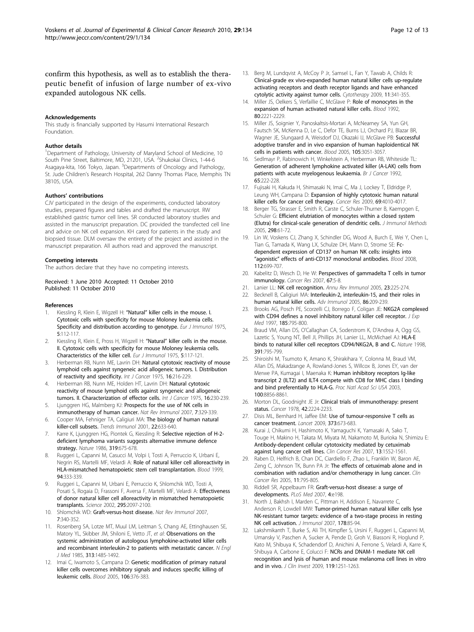<span id="page-11-0"></span>confirm this hypothesis, as well as to establish the therapeutic benefit of infusion of large number of ex-vivo expanded autologous NK cells.

#### Acknowledgements

This study is financially supported by Hasumi International Research Foundation.

#### Author details

<sup>1</sup>Department of Pathology, University of Maryland School of Medicine, 10 South Pine Street, Baltimore, MD, 21201, USA. <sup>2</sup>Shukokai Clinics, 1-44-6 Asagaya-kita, 166 Tokyo, Japan. <sup>3</sup>Departments of Oncology and Pathology, St. Jude Children's Research Hospital, 262 Danny Thomas Place, Memphis TN 38105, USA.

#### Authors' contributions

CJV participated in the design of the experiments, conducted laboratory studies, prepared figures and tables and drafted the manuscript. RW established gastric tumor cell lines. SR conducted laboratory studies and assisted in the manuscript preparation. DC provided the transfected cell line and advice on NK cell expansion. KH cared for patients in the study and biopsied tissue. DLM oversaw the entirety of the project and assisted in the manuscript preparation. All authors read and approved the manuscript.

#### Competing interests

The authors declare that they have no competing interests.

#### Received: 1 June 2010 Accepted: 11 October 2010 Published: 11 October 2010

#### References

- 1. Kiessling R, Klein E, Wigzell H: "Natural" [killer cells in the mouse. I.](http://www.ncbi.nlm.nih.gov/pubmed/1234049?dopt=Abstract) [Cytotoxic cells with specificity for mouse Moloney leukemia cells.](http://www.ncbi.nlm.nih.gov/pubmed/1234049?dopt=Abstract) [Specificity and distribution according to genotype.](http://www.ncbi.nlm.nih.gov/pubmed/1234049?dopt=Abstract) Eur J Immunol 1975, 5:112-117.
- 2. Kiessling R, Klein E, Pross H, Wigzell H: "Natural" [killer cells in the mouse.](http://www.ncbi.nlm.nih.gov/pubmed/1086218?dopt=Abstract) [II. Cytotoxic cells with specificity for mouse Moloney leukemia cells.](http://www.ncbi.nlm.nih.gov/pubmed/1086218?dopt=Abstract) [Characteristics of the killer cell.](http://www.ncbi.nlm.nih.gov/pubmed/1086218?dopt=Abstract) Eur J Immunol 1975, 5:117-121.
- 3. Herberman RB, Nunn ME, Lavrin DH: [Natural cytotoxic reactivity of mouse](http://www.ncbi.nlm.nih.gov/pubmed/50294?dopt=Abstract) [lymphoid cells against syngeneic acid allogeneic tumors. I. Distribution](http://www.ncbi.nlm.nih.gov/pubmed/50294?dopt=Abstract) [of reactivity and specificity.](http://www.ncbi.nlm.nih.gov/pubmed/50294?dopt=Abstract) Int J Cancer 1975, 16:216-229.
- 4. Herberman RB, Nunn ME, Holden HT, Lavrin DH: [Natural cytotoxic](http://www.ncbi.nlm.nih.gov/pubmed/1080480?dopt=Abstract) [reactivity of mouse lymphoid cells against syngeneic and allogeneic](http://www.ncbi.nlm.nih.gov/pubmed/1080480?dopt=Abstract) [tumors. II. Characterization of effector cells.](http://www.ncbi.nlm.nih.gov/pubmed/1080480?dopt=Abstract) Int J Cancer 1975, 16:230-239.
- 5. Ljunggren HG, Malmberg KJ: [Prospects for the use of NK cells in](http://www.ncbi.nlm.nih.gov/pubmed/17438573?dopt=Abstract) [immunotherapy of human cancer.](http://www.ncbi.nlm.nih.gov/pubmed/17438573?dopt=Abstract) Nat Rev Immunol 2007, 7:329-339.
- 6. Cooper MA, Fehniger TA, Caligiuri MA: [The biology of human natural](http://www.ncbi.nlm.nih.gov/pubmed/11698225?dopt=Abstract) [killer-cell subsets.](http://www.ncbi.nlm.nih.gov/pubmed/11698225?dopt=Abstract) Trends Immunol 2001, 22:633-640.
- Karre K, Ljunggren HG, Piontek G, Kiessling R: [Selective rejection of H-2](http://www.ncbi.nlm.nih.gov/pubmed/3951539?dopt=Abstract) [deficient lymphoma variants suggests alternative immune defence](http://www.ncbi.nlm.nih.gov/pubmed/3951539?dopt=Abstract) [strategy.](http://www.ncbi.nlm.nih.gov/pubmed/3951539?dopt=Abstract) Nature 1986, 319:675-678.
- 8. Ruggeri L, Capanni M, Casucci M, Volpi I, Tosti A, Perruccio K, Urbani E, Negrin RS, Martelli MF, Velardi A: [Role of natural killer cell alloreactivity in](http://www.ncbi.nlm.nih.gov/pubmed/10381530?dopt=Abstract) [HLA-mismatched hematopoietic stem cell transplantation.](http://www.ncbi.nlm.nih.gov/pubmed/10381530?dopt=Abstract) Blood 1999, 94:333-339.
- 9. Ruggeri L, Capanni M, Urbani E, Perruccio K, Shlomchik WD, Tosti A, Posati S, Rogaia D, Frassoni F, Aversa F, Martelli MF, Velardi A: [Effectiveness](http://www.ncbi.nlm.nih.gov/pubmed/11896281?dopt=Abstract) [of donor natural killer cell alloreactivity in mismatched hematopoietic](http://www.ncbi.nlm.nih.gov/pubmed/11896281?dopt=Abstract) [transplants.](http://www.ncbi.nlm.nih.gov/pubmed/11896281?dopt=Abstract) Science 2002, 295:2097-2100.
- 10. Shlomchik WD: [Graft-versus-host disease.](http://www.ncbi.nlm.nih.gov/pubmed/17438575?dopt=Abstract) Nat Rev Immunol 2007, 7:340-352.
- 11. Rosenberg SA, Lotze MT, Muul LM, Leitman S, Chang AE, Ettinghausen SE, Matory YL, Skibber JM, Shiloni E, Vetto JT, et al: [Observations on the](http://www.ncbi.nlm.nih.gov/pubmed/3903508?dopt=Abstract) [systemic administration of autologous lymphokine-activated killer cells](http://www.ncbi.nlm.nih.gov/pubmed/3903508?dopt=Abstract) [and recombinant interleukin-2 to patients with metastatic cancer.](http://www.ncbi.nlm.nih.gov/pubmed/3903508?dopt=Abstract) N Engl J Med 1985, 313:1485-1492.
- 12. Imai C, Iwamoto S, Campana D: [Genetic modification of primary natural](http://www.ncbi.nlm.nih.gov/pubmed/15755898?dopt=Abstract) [killer cells overcomes inhibitory signals and induces specific killing of](http://www.ncbi.nlm.nih.gov/pubmed/15755898?dopt=Abstract) [leukemic cells.](http://www.ncbi.nlm.nih.gov/pubmed/15755898?dopt=Abstract) Blood 2005, 106:376-383.
- 13. Berg M, Lundavist A, McCoy P Jr, Samsel L, Fan Y, Tawab A, Childs R: [Clinical-grade ex vivo-expanded human natural killer cells up-regulate](http://www.ncbi.nlm.nih.gov/pubmed/19308771?dopt=Abstract) [activating receptors and death receptor ligands and have enhanced](http://www.ncbi.nlm.nih.gov/pubmed/19308771?dopt=Abstract) [cytolytic activity against tumor cells.](http://www.ncbi.nlm.nih.gov/pubmed/19308771?dopt=Abstract) Cytotherapy 2009, 11:341-355.
- 14. Miller JS, Oelkers S, Verfaillie C, McGlave P: [Role of monocytes in the](http://www.ncbi.nlm.nih.gov/pubmed/1421393?dopt=Abstract) [expansion of human activated natural killer cells.](http://www.ncbi.nlm.nih.gov/pubmed/1421393?dopt=Abstract) Blood 1992, 80:2221-2229.
- 15. Miller JS, Soignier Y, Panoskaltsis-Mortari A, McNearney SA, Yun GH, Fautsch SK, McKenna D, Le C, Defor TE, Burns LJ, Orchard PJ, Blazar BR, Wagner JE, Slungaard A, Weisdorf DJ, Okazaki IJ, McGlave PB: [Successful](http://www.ncbi.nlm.nih.gov/pubmed/15632206?dopt=Abstract) [adoptive transfer and in vivo expansion of human haploidentical NK](http://www.ncbi.nlm.nih.gov/pubmed/15632206?dopt=Abstract) [cells in patients with cancer.](http://www.ncbi.nlm.nih.gov/pubmed/15632206?dopt=Abstract) Blood 2005, 105:3051-3057.
- 16. Sedlmayr P, Rabinowich H, Winkelstein A, Herberman RB, Whiteside TL: [Generation of adherent lymphokine activated killer \(A-LAK\) cells from](http://www.ncbi.nlm.nih.gov/pubmed/1739621?dopt=Abstract) [patients with acute myelogenous leukaemia.](http://www.ncbi.nlm.nih.gov/pubmed/1739621?dopt=Abstract) Br J Cancer 1992, 65:222-228.
- 17. Fujisaki H, Kakuda H, Shimasaki N, Imai C, Ma J, Lockey T, Eldridge P, Leung WH, Campana D: [Expansion of highly cytotoxic human natural](http://www.ncbi.nlm.nih.gov/pubmed/19383914?dopt=Abstract) [killer cells for cancer cell therapy.](http://www.ncbi.nlm.nih.gov/pubmed/19383914?dopt=Abstract) Cancer Res 2009, 69:4010-4017.
- 18. Berger TG, Strasser E, Smith R, Carste C, Schuler-Thurner B, Kaempgen E, Schuler G: [Efficient elutriation of monocytes within a closed system](http://www.ncbi.nlm.nih.gov/pubmed/15847797?dopt=Abstract) [\(Elutra\) for clinical-scale generation of dendritic cells.](http://www.ncbi.nlm.nih.gov/pubmed/15847797?dopt=Abstract) J Immunol Methods 2005, 298:61-72.
- 19. Lin W, Voskens CJ, Zhang X, Schindler DG, Wood A, Burch E, Wei Y, Chen L, Tian G, Tamada K, Wang LX, Schulze DH, Mann D, Strome SE: [Fc](http://www.ncbi.nlm.nih.gov/pubmed/18519814?dopt=Abstract)[dependent expression of CD137 on human NK cells: insights into](http://www.ncbi.nlm.nih.gov/pubmed/18519814?dopt=Abstract) "agonistic" [effects of anti-CD137 monoclonal antibodies.](http://www.ncbi.nlm.nih.gov/pubmed/18519814?dopt=Abstract) Blood 2008, 112:699-707.
- 20. Kabelitz D, Wesch D, He W: [Perspectives of gammadelta T cells in tumor](http://www.ncbi.nlm.nih.gov/pubmed/17210676?dopt=Abstract) [immunology.](http://www.ncbi.nlm.nih.gov/pubmed/17210676?dopt=Abstract) Cancer Res 2007, 67:5-8.
- 21. Lanier LL: [NK cell recognition.](http://www.ncbi.nlm.nih.gov/pubmed/15771571?dopt=Abstract) Annu Rev Immunol 2005, 23:225-274.
- 22. Becknell B, Caligiuri MA: [Interleukin-2, interleukin-15, and their roles in](http://www.ncbi.nlm.nih.gov/pubmed/15705423?dopt=Abstract) [human natural killer cells.](http://www.ncbi.nlm.nih.gov/pubmed/15705423?dopt=Abstract) Adv Immunol 2005, 86:209-239.
- 23. Brooks AG, Posch PE, Scorzelli CJ, Borrego F, Coligan JE: [NKG2A complexed](http://www.ncbi.nlm.nih.gov/pubmed/9034158?dopt=Abstract) [with CD94 defines a novel inhibitory natural killer cell receptor.](http://www.ncbi.nlm.nih.gov/pubmed/9034158?dopt=Abstract) *J Exp* Med 1997, 185:795-800.
- 24. Braud VM, Allan DS, O'Callaghan CA, Soderstrom K, D'Andrea A, Ogg GS, Lazetic S, Young NT, Bell JI, Phillips JH, Lanier LL, McMichael AJ: [HLA-E](http://www.ncbi.nlm.nih.gov/pubmed/9486650?dopt=Abstract) [binds to natural killer cell receptors CD94/NKG2A, B and C.](http://www.ncbi.nlm.nih.gov/pubmed/9486650?dopt=Abstract) Nature 1998, 391:795-799.
- 25. Shiroishi M, Tsumoto K, Amano K, Shirakihara Y, Colonna M, Braud VM, Allan DS, Makadzange A, Rowland-Jones S, Willcox B, Jones EY, van der Merwe PA, Kumagai I, Maenaka K: [Human inhibitory receptors Ig-like](http://www.ncbi.nlm.nih.gov/pubmed/12853576?dopt=Abstract) [transcript 2 \(ILT2\) and ILT4 compete with CD8 for MHC class I binding](http://www.ncbi.nlm.nih.gov/pubmed/12853576?dopt=Abstract) [and bind preferentially to HLA-G.](http://www.ncbi.nlm.nih.gov/pubmed/12853576?dopt=Abstract) Proc Natl Acad Sci USA 2003, 100:8856-8861.
- 26. Morton DL, Goodnight JE Jr: [Clinical trials of immunotherapy: present](http://www.ncbi.nlm.nih.gov/pubmed/363256?dopt=Abstract) [status.](http://www.ncbi.nlm.nih.gov/pubmed/363256?dopt=Abstract) Cancer 1978, 42:2224-2233.
- 27. Disis ML, Bernhard H, Jaffee EM: [Use of tumour-responsive T cells as](http://www.ncbi.nlm.nih.gov/pubmed/19231634?dopt=Abstract) [cancer treatment.](http://www.ncbi.nlm.nih.gov/pubmed/19231634?dopt=Abstract) Lancet 2009, 373:673-683.
- 28. Kurai J, Chikumi H, Hashimoto K, Yamaguchi K, Yamasaki A, Sako T, Touge H, Makino H, Takata M, Miyata M, Nakamoto M, Burioka N, Shimizu E: [Antibody-dependent cellular cytotoxicity mediated by cetuximab](http://www.ncbi.nlm.nih.gov/pubmed/17332301?dopt=Abstract) [against lung cancer cell lines.](http://www.ncbi.nlm.nih.gov/pubmed/17332301?dopt=Abstract) Clin Cancer Res 2007, 13:1552-1561.
- 29. Raben D, Helfrich B, Chan DC, Ciardiello F, Zhao L, Franklin W, Baron AE, Zeng C, Johnson TK, Bunn PA Jr: [The effects of cetuximab alone and in](http://www.ncbi.nlm.nih.gov/pubmed/15701870?dopt=Abstract) [combination with radiation and/or chemotherapy in lung cancer.](http://www.ncbi.nlm.nih.gov/pubmed/15701870?dopt=Abstract) Clin Cancer Res 2005, 11:795-805.
- 30. Riddell SR, Appelbaum FR: [Graft-versus-host disease: a surge of](http://www.ncbi.nlm.nih.gov/pubmed/17622190?dopt=Abstract) [developments.](http://www.ncbi.nlm.nih.gov/pubmed/17622190?dopt=Abstract) PLoS Med 2007, 4:e198.
- 31. North J, Bakhsh I, Marden C, Pittman H, Addison E, Navarrete C, Anderson R, Lowdell MW: [Tumor-primed human natural killer cells lyse](http://www.ncbi.nlm.nih.gov/pubmed/17182543?dopt=Abstract) [NK-resistant tumor targets: evidence of a two-stage process in resting](http://www.ncbi.nlm.nih.gov/pubmed/17182543?dopt=Abstract) [NK cell activation.](http://www.ncbi.nlm.nih.gov/pubmed/17182543?dopt=Abstract) J Immunol 2007, 178:85-94.
- 32. Lakshmikanth T, Burke S, Ali TH, Kimpfler S, Ursini F, Ruggeri L, Capanni M, Umansky V, Paschen A, Sucker A, Pende D, Groh V, Biassoni R, Hoglund P, Kato M, Shibuya K, Schadendorf D, Anichini A, Ferrone S, Velardi A, Karre K, Shibuya A, Carbone E, Colucci F: [NCRs and DNAM-1 mediate NK cell](http://www.ncbi.nlm.nih.gov/pubmed/19349689?dopt=Abstract) [recognition and lysis of human and mouse melanoma cell lines in vitro](http://www.ncbi.nlm.nih.gov/pubmed/19349689?dopt=Abstract) [and in vivo.](http://www.ncbi.nlm.nih.gov/pubmed/19349689?dopt=Abstract) J Clin Invest 2009, 119:1251-1263.